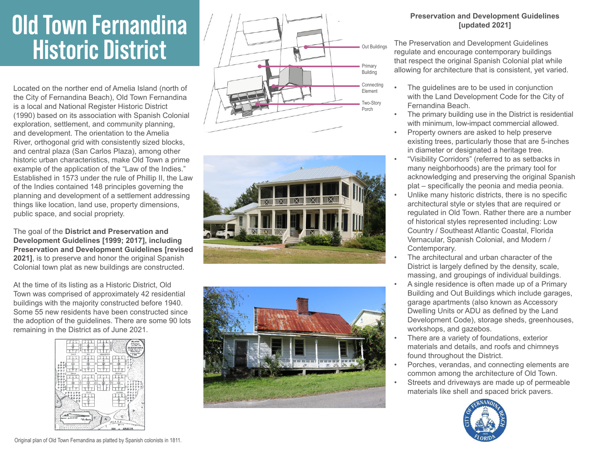## **Old Town Fernandina Historic District**

Located on the norther end of Amelia Island (north of the City of Fernandina Beach), Old Town Fernandina is a local and National Register Historic District (1990) based on its association with Spanish Colonial exploration, settlement, and community planning, and development. The orientation to the Amelia River, orthogonal grid with consistently sized blocks, and central plaza (San Carlos Plaza), among other historic urban characteristics, make Old Town a prime example of the application of the "Law of the Indies." Established in 1573 under the rule of Phillip II, the Law of the Indies contained 148 principles governing the planning and development of a settlement addressing things like location, land use, property dimensions, public space, and social propriety.

The goal of the **District and Preservation and Development Guidelines [1999; 2017], including Preservation and Development Guidelines [revised 2021]**, is to preserve and honor the original Spanish Colonial town plat as new buildings are constructed.

At the time of its listing as a Historic District, Old Town was comprised of approximately 42 residential buildings with the majority constructed before 1940. Some 55 new residents have been constructed since the adoption of the guidelines. There are some 90 lots remaining in the District as of June 2021.









## **Preservation and Development Guidelines [updated 2021]**

The Preservation and Development Guidelines regulate and encourage contemporary buildings that respect the original Spanish Colonial plat while allowing for architecture that is consistent, yet varied.

- The guidelines are to be used in conjunction with the Land Development Code for the City of Fernandina Beach.
- The primary building use in the District is residential with minimum, low-impact commercial allowed.
- Property owners are asked to help preserve existing trees, particularly those that are 5-inches in diameter or designated a heritage tree.
- "Visibility Corridors" (referred to as setbacks in many neighborhoods) are the primary tool for acknowledging and preserving the original Spanish plat – specifically the peonia and media peonia.
- Unlike many historic districts, there is no specific architectural style or styles that are required or regulated in Old Town. Rather there are a number of historical styles represented including: Low Country / Southeast Atlantic Coastal, Florida Vernacular, Spanish Colonial, and Modern / Contemporary.
- The architectural and urban character of the District is largely defined by the density, scale, massing, and groupings of individual buildings.
- A single residence is often made up of a Primary Building and Out Buildings which include garages, garage apartments (also known as Accessory Dwelling Units or ADU as defined by the Land Development Code), storage sheds, greenhouses, workshops, and gazebos.
- There are a variety of foundations, exterior materials and details, and roofs and chimneys found throughout the District.
- Porches, verandas, and connecting elements are common among the architecture of Old Town.
- Streets and driveways are made up of permeable materials like shell and spaced brick pavers.



Original plan of Old Town Fernandina as platted by Spanish colonists in 1811.